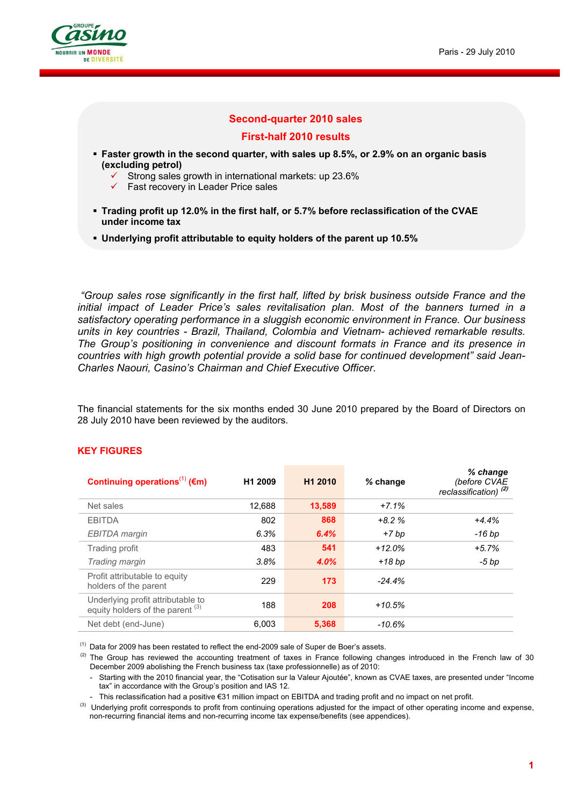

### **Second-quarter 2010 sales**

#### **First-half 2010 results**

- **Faster growth in the second quarter, with sales up 8.5%, or 2.9% on an organic basis (excluding petrol)** 
	- Strong sales growth in international markets: up 23.6%
	- $\checkmark$  Fast recovery in Leader Price sales
- **Trading profit up 12.0% in the first half, or 5.7% before reclassification of the CVAE under income tax**
- **Underlying profit attributable to equity holders of the parent up 10.5%**

 *"Group sales rose significantly in the first half, lifted by brisk business outside France and the*  initial impact of Leader Price's sales revitalisation plan. Most of the banners turned in a *satisfactory operating performance in a sluggish economic environment in France. Our business units in key countries - Brazil, Thailand, Colombia and Vietnam- achieved remarkable results. The Group's positioning in convenience and discount formats in France and its presence in countries with high growth potential provide a solid base for continued development" said Jean-Charles Naouri, Casino's Chairman and Chief Executive Officer.*

The financial statements for the six months ended 30 June 2010 prepared by the Board of Directors on 28 July 2010 have been reviewed by the auditors.

| Continuing operations <sup>(1)</sup> ( $\epsilon$ m)                             | H <sub>1</sub> 2009 | H <sub>1</sub> 2010 | $%$ change | % change<br>(before CVAE<br>reclassification) <sup>(2)</sup> |
|----------------------------------------------------------------------------------|---------------------|---------------------|------------|--------------------------------------------------------------|
| Net sales                                                                        | 12,688              | 13,589              | $+7.1%$    |                                                              |
| <b>EBITDA</b>                                                                    | 802                 | 868                 | $+8.2%$    | $+4.4%$                                                      |
| EBITDA margin                                                                    | 6.3%                | 6.4%                | +7 bp      | -16 bp                                                       |
| Trading profit                                                                   | 483                 | 541                 | $+12.0%$   | $+5.7%$                                                      |
| Trading margin                                                                   | 3.8%                | 4.0%                | +18 bp     | $-5$ bp                                                      |
| Profit attributable to equity<br>holders of the parent                           | 229                 | 173                 | $-24.4%$   |                                                              |
| Underlying profit attributable to<br>equity holders of the parent <sup>(3)</sup> | 188                 | 208                 | $+10.5%$   |                                                              |
| Net debt (end-June)                                                              | 6,003               | 5,368               | $-10.6%$   |                                                              |

### **KEY FIGURES**

 $(1)$  Data for 2009 has been restated to reflect the end-2009 sale of Super de Boer's assets.

 $(2)$  The Group has reviewed the accounting treatment of taxes in France following changes introduced in the French law of 30 December 2009 abolishing the French business tax (taxe professionnelle) as of 2010:

- Starting with the 2010 financial year, the "Cotisation sur la Valeur Ajoutée", known as CVAE taxes, are presented under "Income tax" in accordance with the Group's position and IAS 12.

- This reclassification had a positive €31 million impact on EBITDA and trading profit and no impact on net profit.

<sup>(3)</sup> Underlying profit corresponds to profit from continuing operations adjusted for the impact of other operating income and expense, non-recurring financial items and non-recurring income tax expense/benefits (see appendices).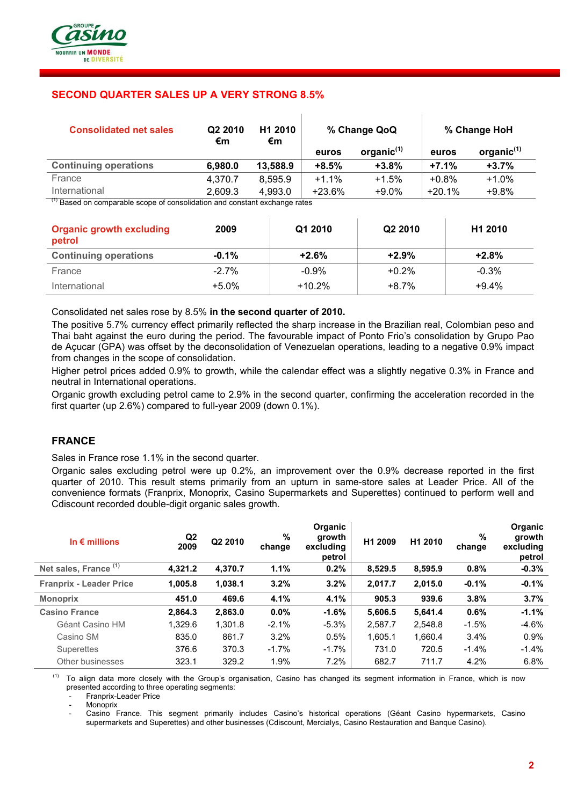

# **SECOND QUARTER SALES UP A VERY STRONG 8.5%**

| <b>Consolidated net sales</b>             | Q2 2010<br>€m | H <sub>1</sub> 2010<br>€m | % Change QoQ |               |          | % Change HoH  |
|-------------------------------------------|---------------|---------------------------|--------------|---------------|----------|---------------|
|                                           |               |                           | euros        | organic $(1)$ | euros    | organic $(1)$ |
| <b>Continuing operations</b>              | 6,980.0       | 13,588.9                  | $+8.5%$      | $+3.8%$       | $+7.1%$  | $+3.7%$       |
| France                                    | 4.370.7       | 8.595.9                   | $+1.1%$      | $+1.5%$       | $+0.8%$  | $+1.0%$       |
| International<br>$\overline{\phantom{a}}$ | 2,609.3       | 4,993.0                   | $+23.6%$     | $+9.0%$       | $+20.1%$ | $+9.8%$       |

 $\overline{1}$ 

 $\overline{1}$ 

(1) Based on comparable scope of consolidation and constant exchange rates

| <b>Organic growth excluding</b><br>petrol | 2009     | Q1 2010  | Q2 2010 | H <sub>1</sub> 2010 |
|-------------------------------------------|----------|----------|---------|---------------------|
| <b>Continuing operations</b>              | $-0.1\%$ | $+2.6%$  | $+2.9%$ | $+2.8%$             |
| France                                    | $-2.7%$  | $-0.9%$  | $+0.2%$ | $-0.3%$             |
| International                             | $+5.0\%$ | $+10.2%$ | $+8.7%$ | $+9.4%$             |

#### Consolidated net sales rose by 8.5% **in the second quarter of 2010.**

The positive 5.7% currency effect primarily reflected the sharp increase in the Brazilian real, Colombian peso and Thai baht against the euro during the period. The favourable impact of Ponto Frio's consolidation by Grupo Pao de Açucar (GPA) was offset by the deconsolidation of Venezuelan operations, leading to a negative 0.9% impact from changes in the scope of consolidation.

Higher petrol prices added 0.9% to growth, while the calendar effect was a slightly negative 0.3% in France and neutral in International operations.

Organic growth excluding petrol came to 2.9% in the second quarter, confirming the acceleration recorded in the first quarter (up 2.6%) compared to full-year 2009 (down 0.1%).

### **FRANCE**

Sales in France rose 1.1% in the second quarter.

Organic sales excluding petrol were up 0.2%, an improvement over the 0.9% decrease reported in the first quarter of 2010. This result stems primarily from an upturn in same-store sales at Leader Price. All of the convenience formats (Franprix, Monoprix, Casino Supermarkets and Superettes) continued to perform well and Cdiscount recorded double-digit organic sales growth.

| In $\epsilon$ millions           | Q2<br>2009 | Q2 2010 | %<br>change | Organic<br>growth<br>excluding<br>petrol | H1 2009 | H1 2010 | %<br>change | Organic<br>growth<br>excluding<br>petrol |
|----------------------------------|------------|---------|-------------|------------------------------------------|---------|---------|-------------|------------------------------------------|
| Net sales, France <sup>(1)</sup> | 4,321.2    | 4,370.7 | 1.1%        | 0.2%                                     | 8,529.5 | 8,595.9 | 0.8%        | $-0.3%$                                  |
| <b>Franprix - Leader Price</b>   | 1,005.8    | 1,038.1 | 3.2%        | 3.2%                                     | 2,017.7 | 2,015.0 | $-0.1%$     | $-0.1%$                                  |
| <b>Monoprix</b>                  | 451.0      | 469.6   | 4.1%        | 4.1%                                     | 905.3   | 939.6   | 3.8%        | 3.7%                                     |
| <b>Casino France</b>             | 2,864.3    | 2,863.0 | 0.0%        | $-1.6%$                                  | 5,606.5 | 5,641.4 | 0.6%        | $-1.1%$                                  |
| Géant Casino HM                  | 1,329.6    | 1,301.8 | $-2.1%$     | $-5.3\%$                                 | 2,587.7 | 2,548.8 | $-1.5%$     | $-4.6%$                                  |
| Casino SM                        | 835.0      | 861.7   | 3.2%        | 0.5%                                     | 1,605.1 | 1,660.4 | 3.4%        | 0.9%                                     |
| Superettes                       | 376.6      | 370.3   | $-1.7%$     | $-1.7\%$                                 | 731.0   | 720.5   | $-1.4%$     | $-1.4%$                                  |
| Other businesses                 | 323.1      | 329.2   | 1.9%        | 7.2%                                     | 682.7   | 711.7   | 4.2%        | 6.8%                                     |

 (1) To align data more closely with the Group's organisation, Casino has changed its segment information in France, which is now presented according to three operating segments:

Franprix-Leader Price

**Monoprix** 

Casino France. This segment primarily includes Casino's historical operations (Géant Casino hypermarkets, Casino supermarkets and Superettes) and other businesses (Cdiscount, Mercialys, Casino Restauration and Banque Casino).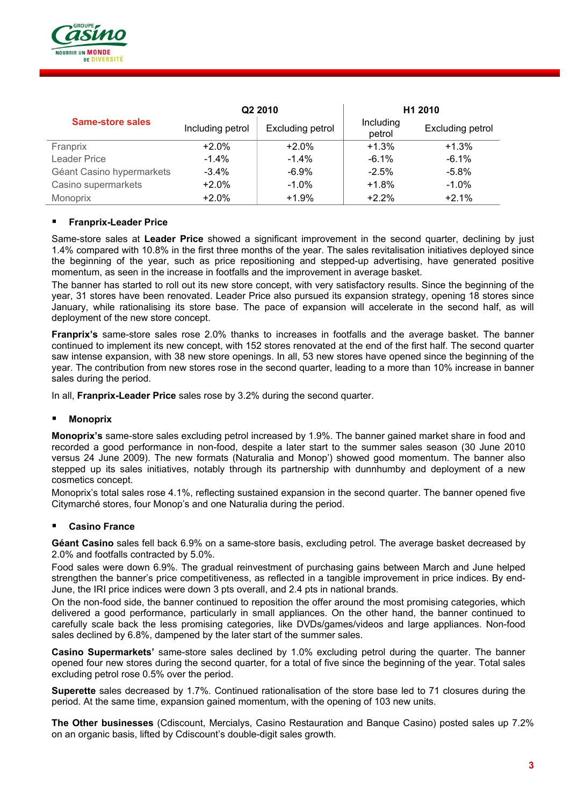

|                           |                  | Q2 2010          | H1 2010             |                         |  |
|---------------------------|------------------|------------------|---------------------|-------------------------|--|
| <b>Same-store sales</b>   | Including petrol | Excluding petrol | Including<br>petrol | <b>Excluding petrol</b> |  |
| Franprix                  | $+2.0%$          | $+2.0%$          | $+1.3%$             | $+1.3%$                 |  |
| Leader Price              | $-1.4\%$         | $-1.4\%$         | $-6.1\%$            | $-6.1\%$                |  |
| Géant Casino hypermarkets | $-3.4\%$         | $-6.9\%$         | $-2.5%$             | $-5.8%$                 |  |
| Casino supermarkets       | $+2.0%$          | $-1.0\%$         | $+1.8%$             | $-1.0\%$                |  |
| Monoprix                  | $+2.0%$          | $+1.9%$          | $+2.2%$             | $+2.1%$                 |  |

### **Franprix-Leader Price**

Same-store sales at **Leader Price** showed a significant improvement in the second quarter, declining by just 1.4% compared with 10.8% in the first three months of the year. The sales revitalisation initiatives deployed since the beginning of the year, such as price repositioning and stepped-up advertising, have generated positive momentum, as seen in the increase in footfalls and the improvement in average basket.

The banner has started to roll out its new store concept, with very satisfactory results. Since the beginning of the year, 31 stores have been renovated. Leader Price also pursued its expansion strategy, opening 18 stores since January, while rationalising its store base. The pace of expansion will accelerate in the second half, as will deployment of the new store concept.

**Franprix's** same-store sales rose 2.0% thanks to increases in footfalls and the average basket. The banner continued to implement its new concept, with 152 stores renovated at the end of the first half. The second quarter saw intense expansion, with 38 new store openings. In all, 53 new stores have opened since the beginning of the year. The contribution from new stores rose in the second quarter, leading to a more than 10% increase in banner sales during the period.

In all, **Franprix-Leader Price** sales rose by 3.2% during the second quarter.

#### **Monoprix**

**Monoprix's** same-store sales excluding petrol increased by 1.9%. The banner gained market share in food and recorded a good performance in non-food, despite a later start to the summer sales season (30 June 2010 versus 24 June 2009). The new formats (Naturalia and Monop') showed good momentum. The banner also stepped up its sales initiatives, notably through its partnership with dunnhumby and deployment of a new cosmetics concept.

Monoprix's total sales rose 4.1%, reflecting sustained expansion in the second quarter. The banner opened five Citymarché stores, four Monop's and one Naturalia during the period.

#### **Casino France**

**Géant Casino** sales fell back 6.9% on a same-store basis, excluding petrol. The average basket decreased by 2.0% and footfalls contracted by 5.0%.

Food sales were down 6.9%. The gradual reinvestment of purchasing gains between March and June helped strengthen the banner's price competitiveness, as reflected in a tangible improvement in price indices. By end-June, the IRI price indices were down 3 pts overall, and 2.4 pts in national brands.

On the non-food side, the banner continued to reposition the offer around the most promising categories, which delivered a good performance, particularly in small appliances. On the other hand, the banner continued to carefully scale back the less promising categories, like DVDs/games/videos and large appliances. Non-food sales declined by 6.8%, dampened by the later start of the summer sales.

**Casino Supermarkets'** same-store sales declined by 1.0% excluding petrol during the quarter. The banner opened four new stores during the second quarter, for a total of five since the beginning of the year. Total sales excluding petrol rose 0.5% over the period.

**Superette** sales decreased by 1.7%. Continued rationalisation of the store base led to 71 closures during the period. At the same time, expansion gained momentum, with the opening of 103 new units.

**The Other businesses** (Cdiscount, Mercialys, Casino Restauration and Banque Casino) posted sales up 7.2% on an organic basis, lifted by Cdiscount's double-digit sales growth.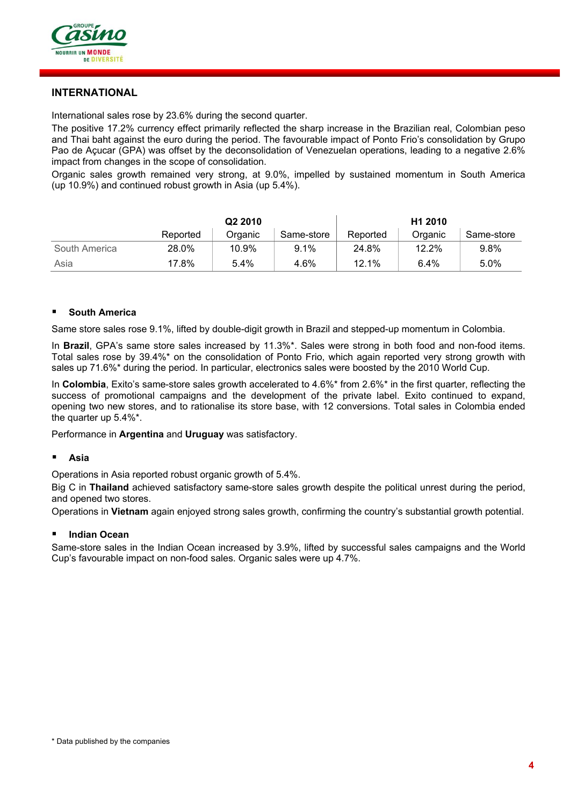

# **INTERNATIONAL**

International sales rose by 23.6% during the second quarter.

The positive 17.2% currency effect primarily reflected the sharp increase in the Brazilian real, Colombian peso and Thai baht against the euro during the period. The favourable impact of Ponto Frio's consolidation by Grupo Pao de Açucar (GPA) was offset by the deconsolidation of Venezuelan operations, leading to a negative 2.6% impact from changes in the scope of consolidation.

Organic sales growth remained very strong, at 9.0%, impelled by sustained momentum in South America (up 10.9%) and continued robust growth in Asia (up 5.4%).

|               | Q <sub>2</sub> 2010 |         |            | H <sub>1</sub> 2010 |         |            |
|---------------|---------------------|---------|------------|---------------------|---------|------------|
|               | Reported            | Organic | Same-store | Reported            | Organic | Same-store |
| South America | 28.0%               | 10.9%   | 9.1%       | 24.8%               | 12.2%   | 9.8%       |
| Asia          | 17.8%               | 5.4%    | 4.6%       | 12.1%               | 6.4%    | 5.0%       |

### **South America**

Same store sales rose 9.1%, lifted by double-digit growth in Brazil and stepped-up momentum in Colombia.

In **Brazil**, GPA's same store sales increased by 11.3%\*. Sales were strong in both food and non-food items. Total sales rose by 39.4%\* on the consolidation of Ponto Frio, which again reported very strong growth with sales up 71.6%\* during the period. In particular, electronics sales were boosted by the 2010 World Cup.

In **Colombia**, Exito's same-store sales growth accelerated to 4.6%\* from 2.6%\* in the first quarter, reflecting the success of promotional campaigns and the development of the private label. Exito continued to expand, opening two new stores, and to rationalise its store base, with 12 conversions. Total sales in Colombia ended the quarter up 5.4%\*.

Performance in **Argentina** and **Uruguay** was satisfactory.

#### **Asia**

Operations in Asia reported robust organic growth of 5.4%.

Big C in **Thailand** achieved satisfactory same-store sales growth despite the political unrest during the period, and opened two stores.

Operations in **Vietnam** again enjoyed strong sales growth, confirming the country's substantial growth potential.

#### **Indian Ocean**

Same-store sales in the Indian Ocean increased by 3.9%, lifted by successful sales campaigns and the World Cup's favourable impact on non-food sales. Organic sales were up 4.7%.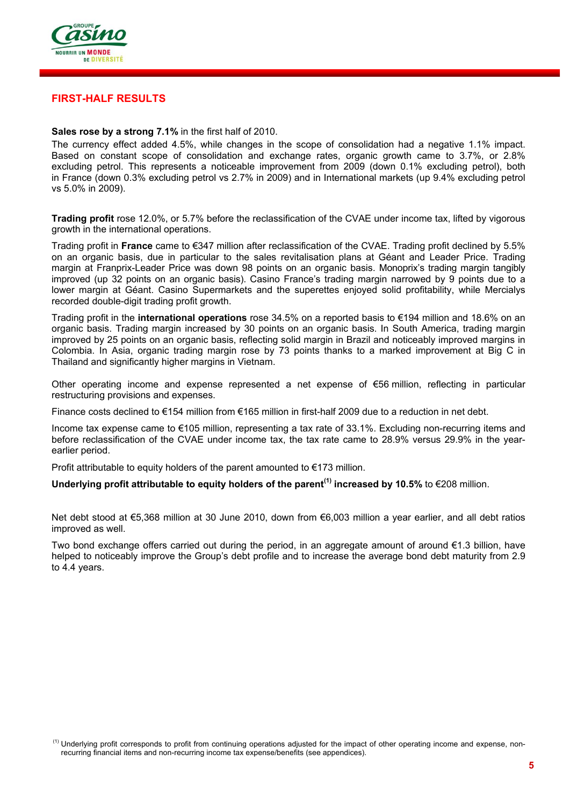

## **FIRST-HALF RESULTS**

### **Sales rose by a strong 7.1%** in the first half of 2010.

The currency effect added 4.5%, while changes in the scope of consolidation had a negative 1.1% impact. Based on constant scope of consolidation and exchange rates, organic growth came to 3.7%, or 2.8% excluding petrol. This represents a noticeable improvement from 2009 (down 0.1% excluding petrol), both in France (down 0.3% excluding petrol vs 2.7% in 2009) and in International markets (up 9.4% excluding petrol vs 5.0% in 2009).

**Trading profit** rose 12.0%, or 5.7% before the reclassification of the CVAE under income tax, lifted by vigorous growth in the international operations.

Trading profit in **France** came to €347 million after reclassification of the CVAE. Trading profit declined by 5.5% on an organic basis, due in particular to the sales revitalisation plans at Géant and Leader Price. Trading margin at Franprix-Leader Price was down 98 points on an organic basis. Monoprix's trading margin tangibly improved (up 32 points on an organic basis). Casino France's trading margin narrowed by 9 points due to a lower margin at Géant. Casino Supermarkets and the superettes enjoyed solid profitability, while Mercialys recorded double-digit trading profit growth.

Trading profit in the **international operations** rose 34.5% on a reported basis to €194 million and 18.6% on an organic basis. Trading margin increased by 30 points on an organic basis. In South America, trading margin improved by 25 points on an organic basis, reflecting solid margin in Brazil and noticeably improved margins in Colombia. In Asia, organic trading margin rose by 73 points thanks to a marked improvement at Big C in Thailand and significantly higher margins in Vietnam.

Other operating income and expense represented a net expense of €56 million, reflecting in particular restructuring provisions and expenses.

Finance costs declined to €154 million from €165 million in first-half 2009 due to a reduction in net debt.

Income tax expense came to €105 million, representing a tax rate of 33.1%. Excluding non-recurring items and before reclassification of the CVAE under income tax, the tax rate came to 28.9% versus 29.9% in the yearearlier period.

Profit attributable to equity holders of the parent amounted to €173 million.

# **Underlying profit attributable to equity holders of the parent(1) increased by 10.5%** to €208 million.

Net debt stood at €5,368 million at 30 June 2010, down from €6,003 million a year earlier, and all debt ratios improved as well.

Two bond exchange offers carried out during the period, in an aggregate amount of around €1.3 billion, have helped to noticeably improve the Group's debt profile and to increase the average bond debt maturity from 2.9 to 4.4 years.

<sup>&</sup>lt;sup>(1)</sup> Underlying profit corresponds to profit from continuing operations adjusted for the impact of other operating income and expense, nonrecurring financial items and non-recurring income tax expense/benefits (see appendices).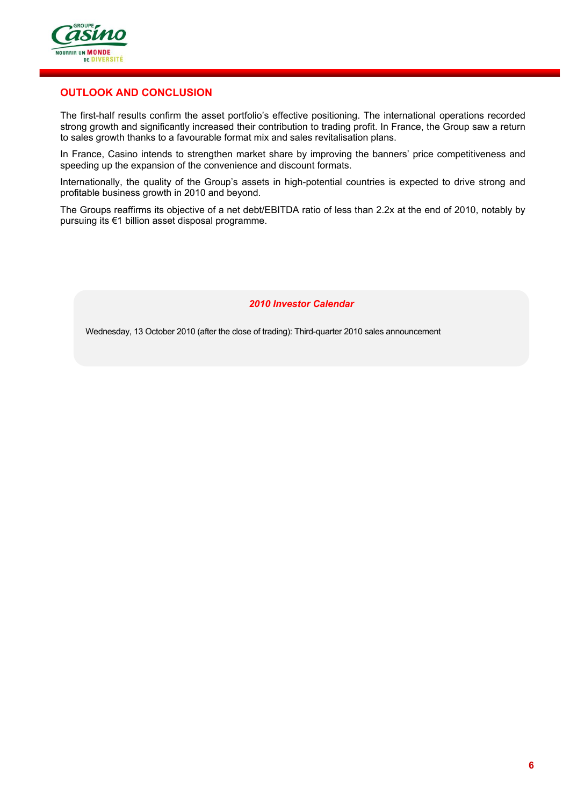

# **OUTLOOK AND CONCLUSION**

The first-half results confirm the asset portfolio's effective positioning. The international operations recorded strong growth and significantly increased their contribution to trading profit. In France, the Group saw a return to sales growth thanks to a favourable format mix and sales revitalisation plans.

In France, Casino intends to strengthen market share by improving the banners' price competitiveness and speeding up the expansion of the convenience and discount formats.

Internationally, the quality of the Group's assets in high-potential countries is expected to drive strong and profitable business growth in 2010 and beyond.

The Groups reaffirms its objective of a net debt/EBITDA ratio of less than 2.2x at the end of 2010, notably by pursuing its €1 billion asset disposal programme.

*2010 Investor Calendar* 

Wednesday, 13 October 2010 (after the close of trading): Third-quarter 2010 sales announcement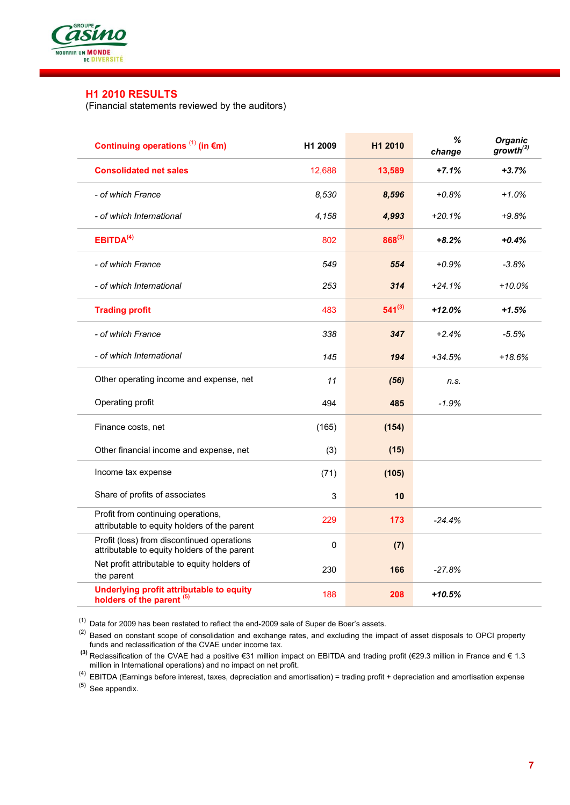

# **H1 2010 RESULTS**

(Financial statements reviewed by the auditors)

| Continuing operations $(1)$ (in $\epsilon$ m)                                              | H <sub>1</sub> 2009 | H <sub>1</sub> 2010 | %<br>change | <b>Organic</b><br>growth <sup>(2)</sup> |
|--------------------------------------------------------------------------------------------|---------------------|---------------------|-------------|-----------------------------------------|
| <b>Consolidated net sales</b>                                                              | 12,688              | 13,589              | $+7.1%$     | $+3.7%$                                 |
| - of which France                                                                          | 8,530               | 8,596               | $+0.8%$     | $+1.0%$                                 |
| - of which International                                                                   | 4,158               | 4,993               | $+20.1%$    | $+9.8%$                                 |
| EBITDA <sup>(4)</sup>                                                                      | 802                 | $868^{(3)}$         | $+8.2%$     | $+0.4%$                                 |
| - of which France                                                                          | 549                 | 554                 | $+0.9%$     | $-3.8%$                                 |
| - of which International                                                                   | 253                 | 314                 | $+24.1%$    | $+10.0%$                                |
| <b>Trading profit</b>                                                                      | 483                 | $541^{(3)}$         | $+12.0%$    | $+1.5%$                                 |
| - of which France                                                                          | 338                 | 347                 | $+2.4%$     | $-5.5%$                                 |
| - of which International                                                                   | 145                 | 194                 | $+34.5%$    | +18.6%                                  |
| Other operating income and expense, net                                                    | 11                  | (56)                | n.s.        |                                         |
| Operating profit                                                                           | 494                 | 485                 | $-1.9%$     |                                         |
| Finance costs, net                                                                         | (165)               | (154)               |             |                                         |
| Other financial income and expense, net                                                    | (3)                 | (15)                |             |                                         |
| Income tax expense                                                                         | (71)                | (105)               |             |                                         |
| Share of profits of associates                                                             | 3                   | 10                  |             |                                         |
| Profit from continuing operations,<br>attributable to equity holders of the parent         | 229                 | 173                 | $-24.4%$    |                                         |
| Profit (loss) from discontinued operations<br>attributable to equity holders of the parent | 0                   | (7)                 |             |                                         |
| Net profit attributable to equity holders of<br>the parent                                 | 230                 | 166                 | $-27.8%$    |                                         |
| Underlying profit attributable to equity<br>holders of the parent <sup>(5)</sup>           | 188                 | 208                 | $+10.5%$    |                                         |

 $(1)$  Data for 2009 has been restated to reflect the end-2009 sale of Super de Boer's assets.

 $(2)$  Based on constant scope of consolidation and exchange rates, and excluding the impact of asset disposals to OPCI property funds and reclassification of the CVAE under income tax.

 **(3)** Reclassification of the CVAE had a positive €31 million impact on EBITDA and trading profit (€29.3 million in France and € 1.3 million in International operations) and no impact on net profit.

(4) EBITDA (Earnings before interest, taxes, depreciation and amortisation) = trading profit + depreciation and amortisation expense (5) See appendix.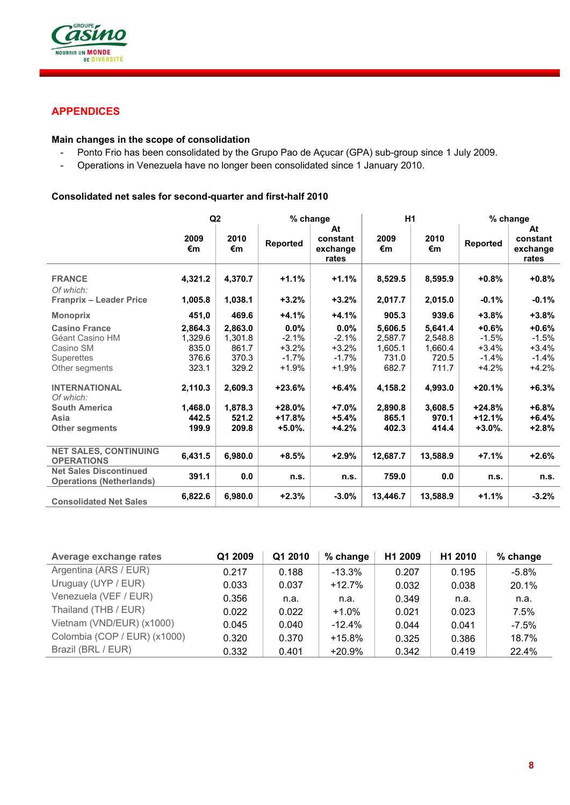

# **APPENDICES**

# **Main changes in the scope of consolidation**

- Ponto Frio has been consolidated by the Grupo Pao de Açucar (GPA) sub-group since 1 July 2009.
- Operations in Venezuela have no longer been consolidated since 1 January 2010.

# **Consolidated net sales for second-quarter and first-half 2010**

|                                                                                                                                                                                           | Q <sub>2</sub>                                                                        |                                                                                       | % change                                                                                         |                                                                                            |                                                                                         | H <sub>1</sub>                                                                          |                                                                                                       | % change                                                                                        |  |
|-------------------------------------------------------------------------------------------------------------------------------------------------------------------------------------------|---------------------------------------------------------------------------------------|---------------------------------------------------------------------------------------|--------------------------------------------------------------------------------------------------|--------------------------------------------------------------------------------------------|-----------------------------------------------------------------------------------------|-----------------------------------------------------------------------------------------|-------------------------------------------------------------------------------------------------------|-------------------------------------------------------------------------------------------------|--|
|                                                                                                                                                                                           |                                                                                       |                                                                                       |                                                                                                  | At                                                                                         |                                                                                         |                                                                                         | At                                                                                                    |                                                                                                 |  |
|                                                                                                                                                                                           | 2009<br>€m                                                                            | 2010<br>€m                                                                            | Reported                                                                                         | constant<br>exchange<br>rates                                                              | 2009<br>€m                                                                              | 2010<br>€m                                                                              | Reported                                                                                              | constant<br>exchange<br>rates                                                                   |  |
| <b>FRANCE</b><br>Of which:                                                                                                                                                                | 4,321.2                                                                               | 4,370.7                                                                               | +1.1%                                                                                            | $+1.1%$                                                                                    | 8,529.5                                                                                 | 8,595.9                                                                                 | $+0.8%$                                                                                               | $+0.8%$                                                                                         |  |
| <b>Franprix - Leader Price</b>                                                                                                                                                            | 1,005.8                                                                               | 1,038.1                                                                               | $+3.2\%$                                                                                         | $+3.2%$                                                                                    | 2,017.7                                                                                 | 2,015.0                                                                                 | $-0.1%$                                                                                               | $-0.1%$                                                                                         |  |
| <b>Monoprix</b>                                                                                                                                                                           | 451,0                                                                                 | 469.6                                                                                 | +4.1%                                                                                            | $+4.1%$                                                                                    | 905.3                                                                                   | 939.6                                                                                   | $+3.8%$                                                                                               | +3.8%                                                                                           |  |
| <b>Casino France</b><br>Géant Casino HM<br>Casino SM<br><b>Superettes</b><br>Other segments<br><b>INTERNATIONAL</b><br>Of which:<br><b>South America</b><br>Asia<br><b>Other segments</b> | 2,864.3<br>1,329.6<br>835.0<br>376.6<br>323.1<br>2,110.3<br>1,468.0<br>442.5<br>199.9 | 2,863.0<br>1,301.8<br>861.7<br>370.3<br>329.2<br>2,609.3<br>1,878.3<br>521.2<br>209.8 | 0.0%<br>$-2.1%$<br>$+3.2%$<br>$-1.7%$<br>+1.9%<br>$+23.6%$<br>$+28.0%$<br>$+17.8%$<br>$+5.0\%$ . | 0.0%<br>$-2.1%$<br>$+3.2%$<br>$-1.7%$<br>+1.9%<br>$+6.4%$<br>$+7.0%$<br>$+5.4%$<br>$+4.2%$ | 5.606.5<br>2.587.7<br>1,605.1<br>731.0<br>682.7<br>4,158.2<br>2,890.8<br>865.1<br>402.3 | 5,641.4<br>2.548.8<br>1,660.4<br>720.5<br>711.7<br>4,993.0<br>3,608.5<br>970.1<br>414.4 | $+0.6%$<br>$-1.5%$<br>$+3.4%$<br>$-1.4%$<br>$+4.2%$<br>$+20.1%$<br>$+24.8%$<br>$+12.1%$<br>$+3.0\%$ . | $+0.6%$<br>$-1.5%$<br>$+3.4%$<br>$-1.4%$<br>$+4.2%$<br>$+6.3%$<br>$+6.8%$<br>$+6.4%$<br>$+2.8%$ |  |
| <b>NET SALES, CONTINUING</b><br><b>OPERATIONS</b>                                                                                                                                         | 6,431.5                                                                               | 6,980.0                                                                               | $+8.5%$                                                                                          | +2.9%                                                                                      | 12,687.7                                                                                | 13,588.9                                                                                | $+7.1%$                                                                                               | $+2.6%$                                                                                         |  |
| <b>Net Sales Discontinued</b><br><b>Operations (Netherlands)</b>                                                                                                                          | 391.1                                                                                 | 0.0                                                                                   | n.s.                                                                                             | n.s.                                                                                       | 759.0                                                                                   | 0.0                                                                                     | n.s.                                                                                                  | n.s.                                                                                            |  |
| <b>Consolidated Net Sales</b>                                                                                                                                                             | 6,822.6                                                                               | 6,980.0                                                                               | $+2.3%$                                                                                          | $-3.0\%$                                                                                   | 13,446.7                                                                                | 13,588.9                                                                                | $+1.1%$                                                                                               | $-3.2%$                                                                                         |  |

| Average exchange rates       | Q1 2009 | Q1 2010 | % change  | H1 2009 | H <sub>1</sub> 2010 | % change |
|------------------------------|---------|---------|-----------|---------|---------------------|----------|
| Argentina (ARS / EUR)        | 0.217   | 0.188   | $-13.3\%$ | 0.207   | 0.195               | $-5.8\%$ |
| Uruguay (UYP / EUR)          | 0.033   | 0.037   | $+12.7%$  | 0.032   | 0.038               | 20.1%    |
| Venezuela (VEF / EUR)        | 0.356   | n.a.    | n.a.      | 0.349   | n.a.                | n.a.     |
| Thailand (THB / EUR)         | 0.022   | 0.022   | $+1.0%$   | 0.021   | 0.023               | 7.5%     |
| Vietnam (VND/EUR) (x1000)    | 0.045   | 0.040   | $-12.4%$  | 0.044   | 0.041               | $-7.5\%$ |
| Colombia (COP / EUR) (x1000) | 0.320   | 0.370   | $+15.8%$  | 0.325   | 0.386               | 18.7%    |
| Brazil (BRL / EUR)           | 0.332   | 0.401   | $+20.9%$  | 0.342   | 0.419               | 22.4%    |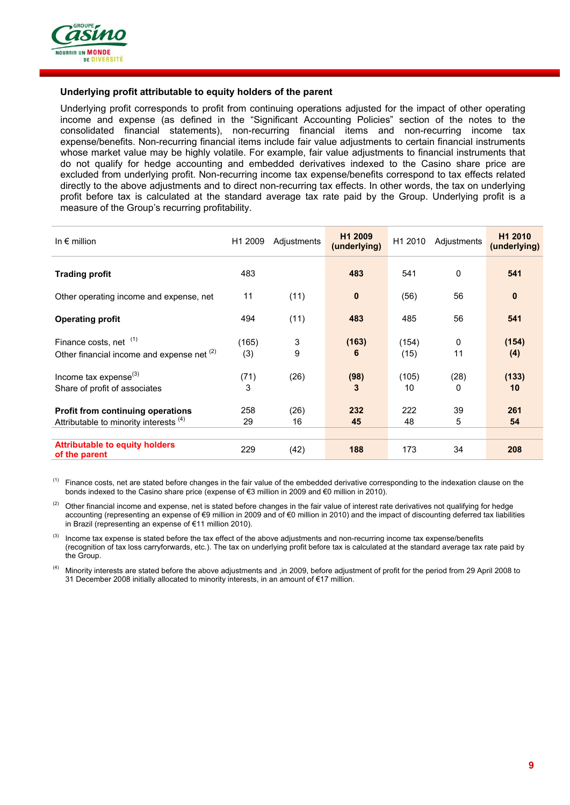

### **Underlying profit attributable to equity holders of the parent**

Underlying profit corresponds to profit from continuing operations adjusted for the impact of other operating income and expense (as defined in the "Significant Accounting Policies" section of the notes to the consolidated financial statements), non-recurring financial items and non-recurring income tax expense/benefits. Non-recurring financial items include fair value adjustments to certain financial instruments whose market value may be highly volatile. For example, fair value adjustments to financial instruments that do not qualify for hedge accounting and embedded derivatives indexed to the Casino share price are excluded from underlying profit. Non-recurring income tax expense/benefits correspond to tax effects related directly to the above adjustments and to direct non-recurring tax effects. In other words, the tax on underlying profit before tax is calculated at the standard average tax rate paid by the Group. Underlying profit is a measure of the Group's recurring profitability.

| In $\epsilon$ million                                                              | H1 2009      | Adjustments | H <sub>1</sub> 2009<br>(underlying) | H1 2010       | Adjustments | H <sub>1</sub> 2010<br>(underlying) |
|------------------------------------------------------------------------------------|--------------|-------------|-------------------------------------|---------------|-------------|-------------------------------------|
| <b>Trading profit</b>                                                              | 483          |             | 483                                 | 541           | 0           | 541                                 |
| Other operating income and expense, net                                            | 11           | (11)        | $\mathbf{0}$                        | (56)          | 56          | $\mathbf{0}$                        |
| <b>Operating profit</b>                                                            | 494          | (11)        | 483                                 | 485           | 56          | 541                                 |
| Finance costs, net (1)<br>Other financial income and expense net (2)               | (165)<br>(3) | 3<br>9      | (163)<br>6                          | (154)<br>(15) | 0<br>11     | (154)<br>(4)                        |
| Income tax expense $^{(3)}$<br>Share of profit of associates                       | (71)<br>3    | (26)        | (98)<br>3                           | (105)<br>10   | (28)<br>0   | (133)<br>10                         |
| <b>Profit from continuing operations</b><br>Attributable to minority interests (4) | 258<br>29    | (26)<br>16  | 232<br>45                           | 222<br>48     | 39<br>5     | 261<br>54                           |
| <b>Attributable to equity holders</b><br>of the parent                             | 229          | (42)        | 188                                 | 173           | 34          | 208                                 |

 $<sup>(1)</sup>$  Finance costs, net are stated before changes in the fair value of the embedded derivative corresponding to the indexation clause on the</sup> bonds indexed to the Casino share price (expense of €3 million in 2009 and €0 million in 2010).

Other financial income and expense, net is stated before changes in the fair value of interest rate derivatives not qualifying for hedge accounting (representing an expense of €9 million in 2009 and of €0 million in 2010) and the impact of discounting deferred tax liabilities in Brazil (representing an expense of €11 million 2010).

Income tax expense is stated before the tax effect of the above adjustments and non-recurring income tax expense/benefits (recognition of tax loss carryforwards, etc.). The tax on underlying profit before tax is calculated at the standard average tax rate paid by the Group.

 (4) Minority interests are stated before the above adjustments and ,in 2009, before adjustment of profit for the period from 29 April 2008 to 31 December 2008 initially allocated to minority interests, in an amount of €17 million.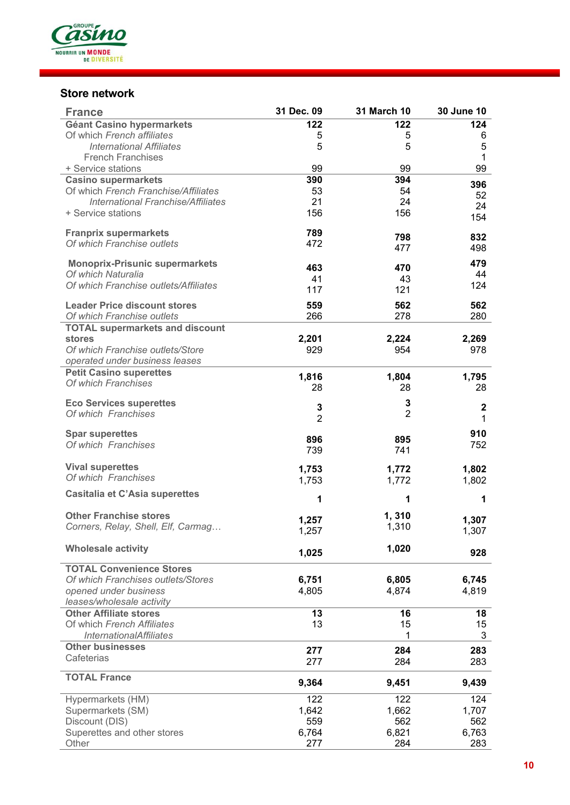

# **Store network**

| <b>France</b>                             | 31 Dec. 09     | <b>31 March 10</b> | 30 June 10       |
|-------------------------------------------|----------------|--------------------|------------------|
| Géant Casino hypermarkets                 | 122            | 122                | 124              |
| Of which French affiliates                | 5              | 5                  | 6                |
| <b>International Affiliates</b>           | 5              | 5                  | 5                |
| <b>French Franchises</b>                  |                |                    | 1                |
| + Service stations                        | 99             | 99                 | 99               |
| <b>Casino supermarkets</b>                | 390            | 394                | 396              |
| Of which French Franchise/Affiliates      | 53             | 54                 | 52               |
| <b>International Franchise/Affiliates</b> | 21             | 24                 | 24               |
| + Service stations                        | 156            | 156                | 154              |
| <b>Franprix supermarkets</b>              | 789            | 798                | 832              |
| Of which Franchise outlets                | 472            | 477                | 498              |
| <b>Monoprix-Prisunic supermarkets</b>     | 463            |                    | 479              |
| Of which Naturalia                        | 41             | 470<br>43          | 44               |
| Of which Franchise outlets/Affiliates     | 117            | 121                | 124              |
|                                           |                |                    |                  |
| <b>Leader Price discount stores</b>       | 559            | 562                | 562              |
| Of which Franchise outlets                | 266            | 278                | 280              |
| <b>TOTAL supermarkets and discount</b>    |                |                    |                  |
| stores                                    | 2,201          | 2,224              | 2,269            |
| Of which Franchise outlets/Store          | 929            | 954                | 978              |
| operated under business leases            |                |                    |                  |
| <b>Petit Casino superettes</b>            | 1,816          | 1,804              | 1,795            |
| Of which Franchises                       | 28             | 28                 | 28               |
| <b>Eco Services superettes</b>            |                | 3                  |                  |
| Of which Franchises                       | 3              | $\overline{2}$     | $\boldsymbol{2}$ |
|                                           | $\overline{2}$ |                    | 1                |
| <b>Spar superettes</b>                    | 896            | 895                | 910              |
| Of which Franchises                       | 739            | 741                | 752              |
|                                           |                |                    |                  |
| <b>Vival superettes</b>                   | 1,753          | 1,772              | 1,802            |
| Of which Franchises                       | 1,753          | 1,772              | 1,802            |
| <b>Casitalia et C'Asia superettes</b>     | 1              | 1                  | 1                |
|                                           |                |                    |                  |
| <b>Other Franchise stores</b>             | 1,257          | 1,310              | 1,307            |
| Corners, Relay, Shell, Elf, Carmag        | 1,257          | 1,310              | 1,307            |
|                                           |                |                    |                  |
| <b>Wholesale activity</b>                 | 1,025          | 1,020              | 928              |
| <b>TOTAL Convenience Stores</b>           |                |                    |                  |
| Of which Franchises outlets/Stores        | 6,751          | 6,805              | 6,745            |
| opened under business                     | 4,805          | 4,874              | 4,819            |
| leases/wholesale activity                 |                |                    |                  |
| <b>Other Affiliate stores</b>             | 13             | 16                 | 18               |
| Of which French Affiliates                | 13             | 15                 | 15               |
| <b>InternationalAffiliates</b>            |                | 1                  | $\mathfrak{B}$   |
| <b>Other businesses</b>                   | 277            | 284                | 283              |
| Cafeterias                                | 277            | 284                | 283              |
| <b>TOTAL France</b>                       |                |                    |                  |
|                                           | 9,364          | 9,451              | 9,439            |
| Hypermarkets (HM)                         | 122            | 122                | 124              |
| Supermarkets (SM)                         | 1,642          | 1,662              | 1,707            |
| Discount (DIS)                            | 559            | 562                | 562              |
| Superettes and other stores               | 6,764          | 6,821              | 6,763            |
| Other                                     | 277            | 284                | 283              |